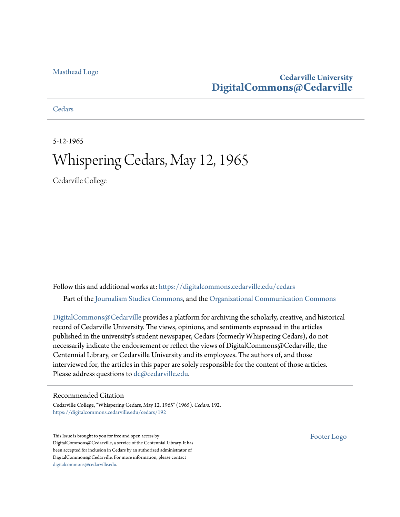#### [Masthead Logo](http://www.cedarville.edu/?utm_source=digitalcommons.cedarville.edu%2Fcedars%2F192&utm_medium=PDF&utm_campaign=PDFCoverPages)

## **Cedarville University [DigitalCommons@Cedarville](https://digitalcommons.cedarville.edu?utm_source=digitalcommons.cedarville.edu%2Fcedars%2F192&utm_medium=PDF&utm_campaign=PDFCoverPages)**

**[Cedars](https://digitalcommons.cedarville.edu/cedars?utm_source=digitalcommons.cedarville.edu%2Fcedars%2F192&utm_medium=PDF&utm_campaign=PDFCoverPages)** 

5-12-1965

# Whispering Cedars, May 12, 1965

Cedarville College

Follow this and additional works at: [https://digitalcommons.cedarville.edu/cedars](https://digitalcommons.cedarville.edu/cedars?utm_source=digitalcommons.cedarville.edu%2Fcedars%2F192&utm_medium=PDF&utm_campaign=PDFCoverPages) Part of the [Journalism Studies Commons](http://network.bepress.com/hgg/discipline/333?utm_source=digitalcommons.cedarville.edu%2Fcedars%2F192&utm_medium=PDF&utm_campaign=PDFCoverPages), and the [Organizational Communication Commons](http://network.bepress.com/hgg/discipline/335?utm_source=digitalcommons.cedarville.edu%2Fcedars%2F192&utm_medium=PDF&utm_campaign=PDFCoverPages)

[DigitalCommons@Cedarville](http://digitalcommons.cedarville.edu/) provides a platform for archiving the scholarly, creative, and historical record of Cedarville University. The views, opinions, and sentiments expressed in the articles published in the university's student newspaper, Cedars (formerly Whispering Cedars), do not necessarily indicate the endorsement or reflect the views of DigitalCommons@Cedarville, the Centennial Library, or Cedarville University and its employees. The authors of, and those interviewed for, the articles in this paper are solely responsible for the content of those articles. Please address questions to [dc@cedarville.edu.](mailto:dc@cedarville.edu)

#### Recommended Citation

Cedarville College, "Whispering Cedars, May 12, 1965" (1965). *Cedars*. 192. [https://digitalcommons.cedarville.edu/cedars/192](https://digitalcommons.cedarville.edu/cedars/192?utm_source=digitalcommons.cedarville.edu%2Fcedars%2F192&utm_medium=PDF&utm_campaign=PDFCoverPages)

This Issue is brought to you for free and open access by DigitalCommons@Cedarville, a service of the Centennial Library. It has been accepted for inclusion in Cedars by an authorized administrator of DigitalCommons@Cedarville. For more information, please contact [digitalcommons@cedarville.edu](mailto:digitalcommons@cedarville.edu).

[Footer Logo](http://www.cedarville.edu/Academics/Library.aspx?utm_source=digitalcommons.cedarville.edu%2Fcedars%2F192&utm_medium=PDF&utm_campaign=PDFCoverPages)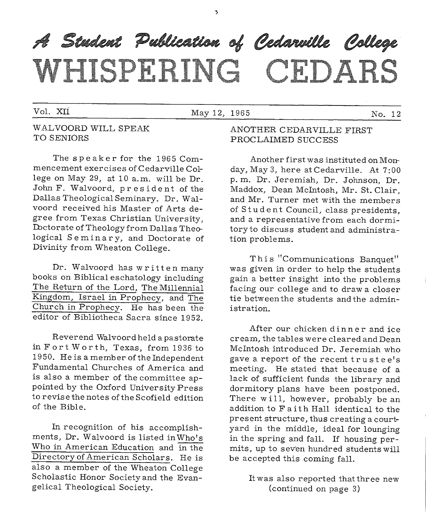A Student Publication of Cedarville College WEIGPHEING CEDARS

Š.

#### Vol. XII May 12, 1965 No. 12

#### WALVOORD WILL SPEAK TO SENIORS

The speaker for the 1965 Commencement exercises of Cedarville College on May 29, at 10 a.m. will be Dr. John F. Walvoord, president of the Dallas Theological Seminary. Dr. Walvoord received his Master of Arts degree from Texas Christian University, Doctorate of Theology from Dallas Theological Seminary, and Doctorate of Divinity from Wheaton College.

Dr. Walvoord has written many books on Biblical eschatology including The Return of the Lord, The Millennial Kingdom, Israel in Prophecy, and The Church in Prophecy. He has been the editor of Bibliotheca Sacra since 1952.

Reverend Walvoord held a pastorate in Fort Worth, Texas, from 1936 to 1950. He is a member of the Independent Fundamental Churches of America and is also a member of the committee appointed by the Oxford University Press to revise the notes of the Scofield edition of the Bible.

In recognition of his accomplishments, Dr. Walvoord is listed in Who's Who in American Education and in the Directory of American Scholars. He is also a member of the Wheaton College Scholastic Honor Society and the Evangelical Theological Society.

#### ANOTHER CEDARVILLE FIRST PROCLAIMED SUCCESS

Another first was instituted on Monday, May 3, here at Cedarville. At 7:00 p. m. Dr. Jeremiah, Dr. Johnson, Dr. Maddox, Dean Mcintosh, Mr. St. Clair, and Mr. Turner met with the members of Student Council, class presidents, and a representative from each dormitory to discuss student and administration problems.

This "Communications Banquet" was given in order to help the students gain a better insight into the problems facing our college and to draw a closer tie between the students and the administration.

After our chicken dinner and ice cream, the tables were cleared and Dean Mcintosh introduced Dr. Jeremiah who gave a report of the recent trustee's meeting. He stated that because of <sup>a</sup> lack of sufficient funds the library and dormitory plans have been postponed. There will, however, probably be an addition to F a it h Hall identical to the present structure, thus creating a courtyard in the middle, ideal for lounging in the spring and fall. If housing permits, up to seven hundred students will be accepted this coming fall.

> It was also reported that three new (continued on page 3)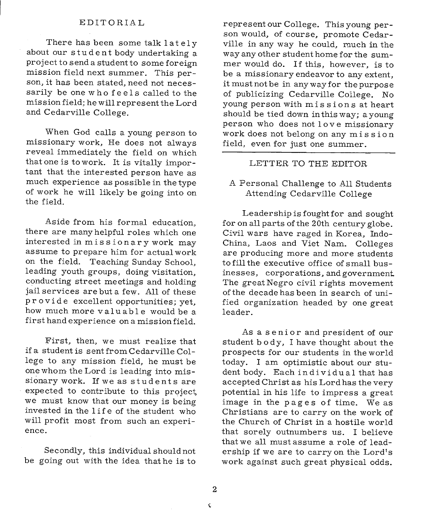#### EDITORIAL

There has been some talk lately about our student body undertaking a project to send a student to some foreign mission field next summer. This person, it has been stated, need not necessarily be one who feels called to the mission field; he will represent the Lord and Cedarville College.

When God calls a young person to missionary work, He does not always reveal immediately the field on which that one is to work. It is vitally important that the interested person have as much experience as possible in the type of work he will likely be going into on the field.

Aside from his formal education, there are many helpful roles which one interested in missionary work may assume to prepare him for actual work on the field. Teaching Sunday School, leading youth groups, doing visitation, conducting street meetings and holding jail services are but a few. All of these provide excellent opportunities; yet, how much more valuable would be a first hand experience on a mission field.

First, then, we must realize that if a student is sent from Cedarville College to any mission field, he must be one whom the Lord is leading into missionary work. If we as students are expected to contribute to this project, we must know that our money is being invested in the 1 if e of the student who will profit most from such an experience.

Secondly, this individual should not be going out with the idea that he is to

represent our College. This young person would, of course, promote Cedarville in any way he could, much in the way any other student home for the summer would do. If this, however, is to be a missionary endeavor to any extent, it must not be in any way for the purpose of publicizing Cedarville College. No young person with mis s ions at heart should be tied down in this way; <sup>a</sup>young person who does not 1 ov e missionary work does not belong on any mission field, even for just one summer.

#### LETTER TO THE EDITOR

<sup>A</sup>Personal Challenge to All Students Attending Cedarville College

Leadership is fought for and sought for on all parts of the 20th century globe. Civil wars have raged in Korea, Indo-China, Laos and Viet Nam. Colleges are producing more and more students to fill the executive office of small businesses, corporations, and government The great Negro civil rights movement of the decade has been in search of unified organization headed by one great leader.

As a senior and president of our student b ody, I have thought about the prospects for our students in the world today. I am optimistic about our student body. Each individual that has accepted Christ as his Lord has the very potential in his life to impress a great image in the pages of time. We as Christians are to carry on the work of the Church of Christ in a hostile world that sorely outnumbers us. I believe that we all must assume a role of leadership if we are to carry on the Lord's work against such great physical odds.

 $\check{\mathbf{C}}$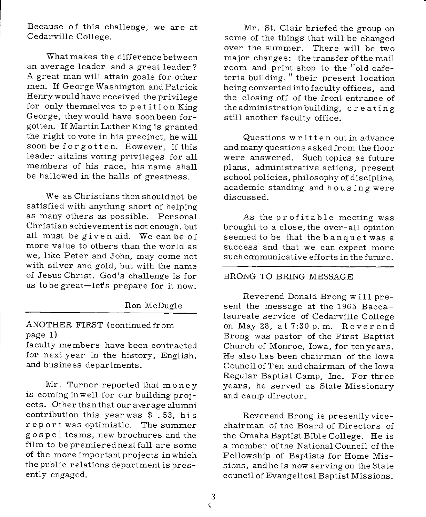Because of this challenge, we are at Cedarville College.

What makes the difference between an average leader and a great leader? A great man will attain goals for other men. If George Washington and Patrick Henry would have received the privilege for only themselves to petition King George, they would have soon been forgotten. If Martin Luther King is granted the right to vote in his precinct, he will soon be forgotten. However, if this leader attains voting privileges for all members of his race, his name shall be hallowed in the halls of greatness.

We as Christians then should not be satisfied with anything short of helping as many others as possible. Personal Christian achievement is not enough, but all must be given aid. We can be of more value to others than the world as we, like Peter and John, may come not with silver and gold, but with the name of Jesus Christ. God's challenge is for us to be great-let's prepare for it now.

#### Ron McDugle

#### ANOTHER FIRST (continued from page 1)

faculty members have been contracted for next year in the history, English, and business departments.

Mr. Turner reported that money is coming in well for our building projects. Other than that our average alumni contribution this year was \$ . 53, his report was optimistic. The summer gos p e 1 teams, new brochures and the film to be premiered next fall are some of the more important projects in which the pvblic relations department is presently engaged.

Mr. St. Clair briefed the group on some of the things that will be changed over the summer. There will be two major changes: the transfer of the mail room and print shop to the "old cafeteria building," their present location being converted into faculty offices, and the closing off of the front entrance of the administration building, creating still another faculty office.

Questions written out in advance and many questions asked from the floor were answered. Such topics as future <sup>p</sup>lans, administrative actions, present school policies, philosophy of discipline, academic standing and housing were discussed.

As the profitable meeting was brought to a close, the over-all opinion seemed to be that the banquet was <sup>a</sup> success and that we can expect more suchcanmunicative efforts in the future.

#### BRONG TO BRING MESSAGE

Reverend Donald Brong w i 11 present the message at the 1965 Baccalaureate service of Cedarville College on May 28, at 7:30 p. m. Reverend Brong was pastor of the First Baptist Church of Monroe, Iowa, for tenyears. He also has been chairman of the Iowa Council of Ten and chairman of the low <sup>a</sup> Regular Baptist Camp, Inc. For three years, he served as State Missionary and camp director.

Reverend Brong is presentlyvicechairman of the Board of Directors of the Omaha Baptist Bible College. He is <sup>a</sup>member of the National Council of the Fellowship of Baptists for Home Missions, and he is now serving on the State council of Evangelical Baptist Missions.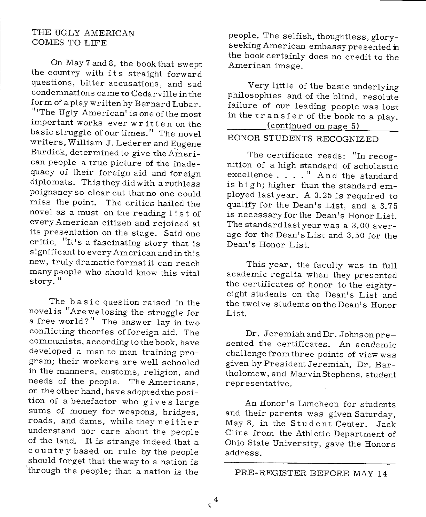#### **THE** UGLY AMERICAN COMES TO LIFE

On May 7 and 8, the book that swept the country with its straight forward questions, bitter accusations, and sad condemnations came to Cedarville in the form of <sup>a</sup>play written by Bernard Lubar. "The Ugly American' is one of the most important works ever written on the basic struggle of our times." The novel writers, William J. Lederer and Eugene Burdick, determined to give the American people a true picture of the inadequacy of their foreign aid and foreign diplomats. This they did with a ruthless poignancy so clear cut that no one could miss the point. The critics hailed the novel as a must on the reading list of every American citizen and rejoiced at its presentation on the stage. Said one critic, "It's a fascinating story that is significant to every American and in this new, truly dramatic format it can reach many people who should know this vital story. "

The basic question raised in the novel is "Are we losing the struggle for <sup>a</sup>free world?" The answer lay in two conflicting theories of foreign aid. The communists, according to the book, have developed <sup>a</sup>man to man training program; their workers are well schooled in the manners, customs, religion, and needs of the people. The Americans, on the other hand, have adopted the position of a benefactor who gives large sums of money for weapons, bridges, roads, and dams, while they neither understand nor care about the people of the land. It is strange indeed that <sup>a</sup> country based on rule by the people should forget that thewayto a nation is 'through the people; that a nation is the

people. The selfish, thoughtless, gloryseeking American embassy presented **:in**  the book certainly does no credit to the American image.

Very little of the basic underlying <sup>p</sup>hilosophies and of the blind, resolute failure of our leading people was lost in the transfer of the book to <sup>a</sup>play. (continued on page 5)

### HONOR STUDENTS RECOGNIZED

The certificate reads: "In recognition of a high standard of scholastic excellence . . . . " And the standard is high; higher than the standard em<sup>p</sup>loyed lastyear. A 3.25 is required to qualify for the Dean's List, and a 3.75 is necessaryforthe Dean's Honor List. The standard last year was a 3. 00 average for the Dean's List and 3.50 for the Dean's Honor List.

This year, the faculty was in full academic regalia when they presented the certificates of honor to the eightyeight students on the Dean's List and the twelve students on the Dean's Honor List.

Dr. Jeremiah and Dr. Johnson presented the certificates. An academic challenge from three points of view was given by President Jeremiah, Dr. Bartholomew, and MarvinStephens, student representative.

An Honor's Luncheon for students and their parents was given Saturday, May 8, in the Student Center. Jack Cline from the Athletic Department of Ohio State University, gave the Honors address.

PRE-REGISTER BEFORE MAY 14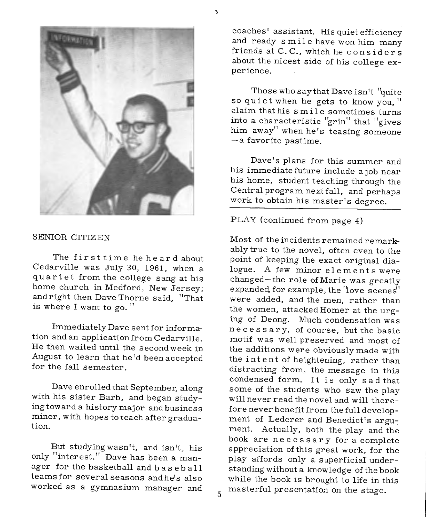

#### SENIOR CITIZEN

The first time he heard about Cedarville was July 30, 1961, when <sup>a</sup> quartet from the college sang at his home church in Medford, New Jersey; and right then Dave Thorne said, "That is where I want to go."

Immediately Dave sent for information and an application from Cedarville. He then waited until the second week in August to learn that he'd beenaccepted for the fall semester.

Dave enrolled that September, along with his sister Barb, and began studyingtoward a history major and business minor, with hopes to teach after graduation.

But studyingwasn't, and isn't, his only "interest." Dave has been a manager for the basketball and base b a 11 teams for several seasons and he's also worked as a gymnasium manager and 5 coaches' assistant. His quiet efficiency and ready smile have won him many friends at C.C., which he considers about the nicest side of his college experience.

Those who say that Dave isn't "quite so quiet when he gets to know you, " claim that his s mi 1 e sometimes turns into a characteristic "grin" that "gives him away" when he's teasing someone - <sup>a</sup>favorite pastime.

Dave's plans for this summer and his immediate future include a job near his home, student teaching through the Central program next fall, and perhaps work to obtain his master's degree.

#### PLAY (continued from page 4)

Most of the incidents remained remarkably true to the novel, often even to the point of keeping the exact original dialogue. A few minor elements were changed-the role of Marie was greatly expanded, for example, the 'love scenes'' were added, and the men, rather than the women, attacked Homer at the urging of Deong. Much condensation was n e c es s a r y, of course, but the basic motif was well preserved and most of the additions were obviously made with the intent of heightening, rather than distracting from, the message in this condensed form. It is only sad that some of the students who saw the play will never read the novel and will therefore never benefit from the full development of Lederer and Benedict's argument. Actually, both the play and the book are necessary for a complete appreciation ofthis great work, for the <sup>p</sup>lay affords only a superficial understanding without a knowledge of the book while the book is brought to life in this masterful presentation on the stage.

ð.